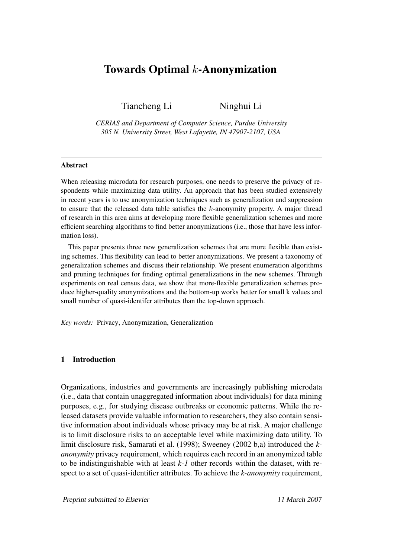# Towards Optimal k-Anonymization

Tiancheng Li Ninghui Li

*CERIAS and Department of Computer Science, Purdue University 305 N. University Street, West Lafayette, IN 47907-2107, USA*

#### Abstract

When releasing microdata for research purposes, one needs to preserve the privacy of respondents while maximizing data utility. An approach that has been studied extensively in recent years is to use anonymization techniques such as generalization and suppression to ensure that the released data table satisfies the k-anonymity property. A major thread of research in this area aims at developing more flexible generalization schemes and more efficient searching algorithms to find better anonymizations (i.e., those that have less information loss).

This paper presents three new generalization schemes that are more flexible than existing schemes. This flexibility can lead to better anonymizations. We present a taxonomy of generalization schemes and discuss their relationship. We present enumeration algorithms and pruning techniques for finding optimal generalizations in the new schemes. Through experiments on real census data, we show that more-flexible generalization schemes produce higher-quality anonymizations and the bottom-up works better for small k values and small number of quasi-identifer attributes than the top-down approach.

*Key words:* Privacy, Anonymization, Generalization

## 1 Introduction

Organizations, industries and governments are increasingly publishing microdata (i.e., data that contain unaggregated information about individuals) for data mining purposes, e.g., for studying disease outbreaks or economic patterns. While the released datasets provide valuable information to researchers, they also contain sensitive information about individuals whose privacy may be at risk. A major challenge is to limit disclosure risks to an acceptable level while maximizing data utility. To limit disclosure risk, Samarati et al. (1998); Sweeney (2002 b,a) introduced the *kanonymity* privacy requirement, which requires each record in an anonymized table to be indistinguishable with at least *k-1* other records within the dataset, with respect to a set of quasi-identifier attributes. To achieve the *k-anonymity* requirement,

Preprint submitted to Elsevier 11 March 2007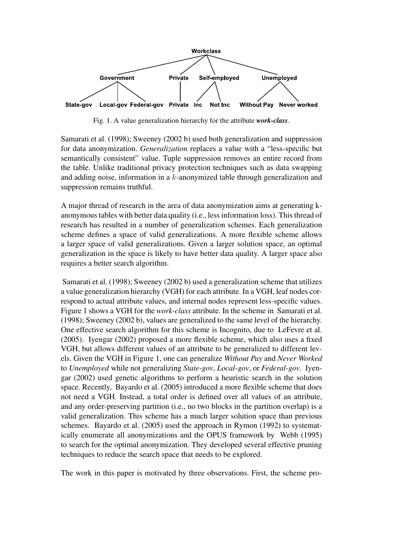

Fig. 1. A value generalization hierarchy for the attribute *work-class*.

Samarati et al. (1998); Sweeney (2002 b) used both generalization and suppression for data anonymization. *Generalization* replaces a value with a "less-specific but semantically consistent" value. Tuple suppression removes an entire record from the table. Unlike traditional privacy protection techniques such as data swapping and adding noise, information in a k-anonymized table through generalization and suppression remains truthful.

A major thread of research in the area of data anonymization aims at generating kanonymous tables with better data quality (i.e., less information loss). This thread of research has resulted in a number of generalization schemes. Each generalization scheme defines a space of valid generalizations. A more flexible scheme allows a larger space of valid generalizations. Given a larger solution space, an optimal generalization in the space is likely to have better data quality. A larger space also requires a better search algorithm.

Samarati et al. (1998); Sweeney (2002 b) used a generalization scheme that utilizes a value generalization hierarchy (VGH) for each attribute. In a VGH, leaf nodes correspond to actual attribute values, and internal nodes represent less-specific values. Figure 1 shows a VGH for the *work-class* attribute. In the scheme in Samarati et al. (1998); Sweeney (2002 b), values are generalized to the same level of the hierarchy. One effective search algorithm for this scheme is Incognito, due to LeFevre et al. (2005). Iyengar (2002) proposed a more flexible scheme, which also uses a fixed VGH, but allows different values of an attribute to be generalized to different levels. Given the VGH in Figure 1, one can generalize *Without Pay* and *Never Worked* to *Unemployed* while not generalizing *State-gov*, *Local-gov*, or *Federal-gov*. Iyengar (2002) used genetic algorithms to perform a heuristic search in the solution space. Recently, Bayardo et al. (2005) introduced a more flexible scheme that does not need a VGH. Instead, a total order is defined over all values of an attribute, and any order-preserving partition (i.e., no two blocks in the partition overlap) is a valid generalization. This scheme has a much larger solution space than previous schemes. Bayardo et al. (2005) used the approach in Rymon (1992) to systematically enumerate all anonymizations and the OPUS framework by Webb (1995) to search for the optimal anonymization. They developed several effective pruning techniques to reduce the search space that needs to be explored.

The work in this paper is motivated by three observations. First, the scheme pro-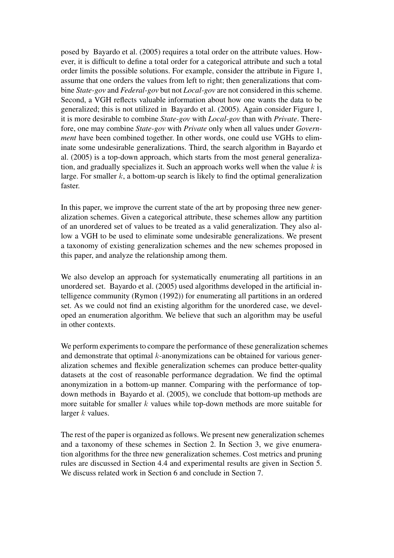posed by Bayardo et al. (2005) requires a total order on the attribute values. However, it is difficult to define a total order for a categorical attribute and such a total order limits the possible solutions. For example, consider the attribute in Figure 1, assume that one orders the values from left to right; then generalizations that combine *State-gov* and *Federal-gov* but not *Local-gov* are not considered in this scheme. Second, a VGH reflects valuable information about how one wants the data to be generalized; this is not utilized in Bayardo et al. (2005). Again consider Figure 1, it is more desirable to combine *State-gov* with *Local-gov* than with *Private*. Therefore, one may combine *State-gov* with *Private* only when all values under *Government* have been combined together. In other words, one could use VGHs to eliminate some undesirable generalizations. Third, the search algorithm in Bayardo et al. (2005) is a top-down approach, which starts from the most general generalization, and gradually specializes it. Such an approach works well when the value  $k$  is large. For smaller  $k$ , a bottom-up search is likely to find the optimal generalization faster.

In this paper, we improve the current state of the art by proposing three new generalization schemes. Given a categorical attribute, these schemes allow any partition of an unordered set of values to be treated as a valid generalization. They also allow a VGH to be used to eliminate some undesirable generalizations. We present a taxonomy of existing generalization schemes and the new schemes proposed in this paper, and analyze the relationship among them.

We also develop an approach for systematically enumerating all partitions in an unordered set. Bayardo et al. (2005) used algorithms developed in the artificial intelligence community (Rymon (1992)) for enumerating all partitions in an ordered set. As we could not find an existing algorithm for the unordered case, we developed an enumeration algorithm. We believe that such an algorithm may be useful in other contexts.

We perform experiments to compare the performance of these generalization schemes and demonstrate that optimal  $k$ -anonymizations can be obtained for various generalization schemes and flexible generalization schemes can produce better-quality datasets at the cost of reasonable performance degradation. We find the optimal anonymization in a bottom-up manner. Comparing with the performance of topdown methods in Bayardo et al. (2005), we conclude that bottom-up methods are more suitable for smaller  $k$  values while top-down methods are more suitable for larger  $k$  values.

The rest of the paper is organized as follows. We present new generalization schemes and a taxonomy of these schemes in Section 2. In Section 3, we give enumeration algorithms for the three new generalization schemes. Cost metrics and pruning rules are discussed in Section 4.4 and experimental results are given in Section 5. We discuss related work in Section 6 and conclude in Section 7.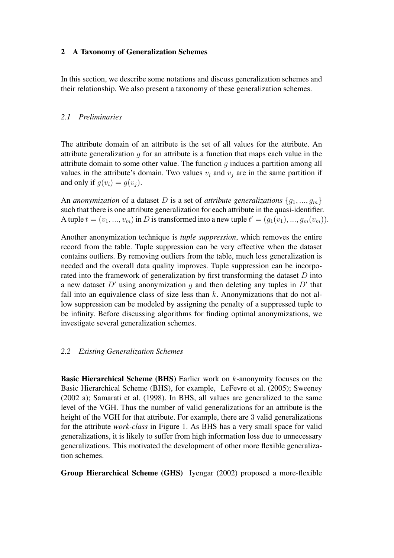# 2 A Taxonomy of Generalization Schemes

In this section, we describe some notations and discuss generalization schemes and their relationship. We also present a taxonomy of these generalization schemes.

# *2.1 Preliminaries*

The attribute domain of an attribute is the set of all values for the attribute. An attribute generalization  $q$  for an attribute is a function that maps each value in the attribute domain to some other value. The function  $q$  induces a partition among all values in the attribute's domain. Two values  $v_i$  and  $v_j$  are in the same partition if and only if  $g(v_i) = g(v_i)$ .

An *anonymization* of a dataset D is a set of *attribute generalizations*  $\{g_1, ..., g_m\}$ such that there is one attribute generalization for each attribute in the quasi-identifier. A tuple  $t = (v_1, ..., v_m)$  in D is transformed into a new tuple  $t' = (g_1(v_1), ..., g_m(v_m))$ .

Another anonymization technique is *tuple suppression*, which removes the entire record from the table. Tuple suppression can be very effective when the dataset contains outliers. By removing outliers from the table, much less generalization is needed and the overall data quality improves. Tuple suppression can be incorporated into the framework of generalization by first transforming the dataset  $D$  into a new dataset  $D'$  using anonymization g and then deleting any tuples in  $D'$  that fall into an equivalence class of size less than  $k$ . Anonymizations that do not allow suppression can be modeled by assigning the penalty of a suppressed tuple to be infinity. Before discussing algorithms for finding optimal anonymizations, we investigate several generalization schemes.

# *2.2 Existing Generalization Schemes*

**Basic Hierarchical Scheme (BHS)** Earlier work on k-anonymity focuses on the Basic Hierarchical Scheme (BHS), for example, LeFevre et al. (2005); Sweeney (2002 a); Samarati et al. (1998). In BHS, all values are generalized to the same level of the VGH. Thus the number of valid generalizations for an attribute is the height of the VGH for that attribute. For example, there are 3 valid generalizations for the attribute *work-class* in Figure 1. As BHS has a very small space for valid generalizations, it is likely to suffer from high information loss due to unnecessary generalizations. This motivated the development of other more flexible generalization schemes.

Group Hierarchical Scheme (GHS) Iyengar (2002) proposed a more-flexible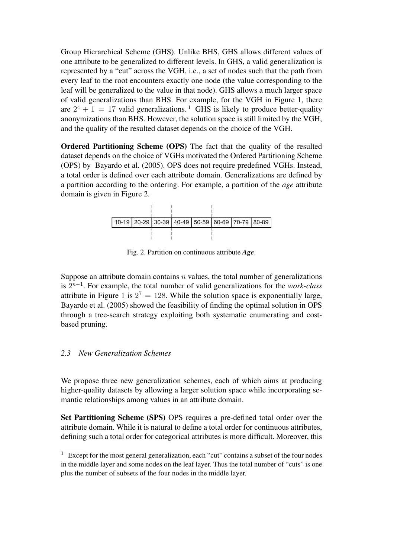Group Hierarchical Scheme (GHS). Unlike BHS, GHS allows different values of one attribute to be generalized to different levels. In GHS, a valid generalization is represented by a "cut" across the VGH, i.e., a set of nodes such that the path from every leaf to the root encounters exactly one node (the value corresponding to the leaf will be generalized to the value in that node). GHS allows a much larger space of valid generalizations than BHS. For example, for the VGH in Figure 1, there are  $2^4 + 1 = 17$  valid generalizations.<sup>1</sup> GHS is likely to produce better-quality anonymizations than BHS. However, the solution space is still limited by the VGH, and the quality of the resulted dataset depends on the choice of the VGH.

Ordered Partitioning Scheme (OPS) The fact that the quality of the resulted dataset depends on the choice of VGHs motivated the Ordered Partitioning Scheme (OPS) by Bayardo et al. (2005). OPS does not require predefined VGHs. Instead, a total order is defined over each attribute domain. Generalizations are defined by a partition according to the ordering. For example, a partition of the *age* attribute domain is given in Figure 2.

|  | 10-19 20-29 30-39 40-49 50-59 60-69 70-79 80-89 |  |  |  |
|--|-------------------------------------------------|--|--|--|
|  |                                                 |  |  |  |

Fig. 2. Partition on continuous attribute *Age*.

Suppose an attribute domain contains  $n$  values, the total number of generalizations is 2 n−1 . For example, the total number of valid generalizations for the *work-class* attribute in Figure 1 is  $2^7 = 128$ . While the solution space is exponentially large, Bayardo et al. (2005) showed the feasibility of finding the optimal solution in OPS through a tree-search strategy exploiting both systematic enumerating and costbased pruning.

## *2.3 New Generalization Schemes*

We propose three new generalization schemes, each of which aims at producing higher-quality datasets by allowing a larger solution space while incorporating semantic relationships among values in an attribute domain.

Set Partitioning Scheme (SPS) OPS requires a pre-defined total order over the attribute domain. While it is natural to define a total order for continuous attributes, defining such a total order for categorical attributes is more difficult. Moreover, this

 $1$  Except for the most general generalization, each "cut" contains a subset of the four nodes in the middle layer and some nodes on the leaf layer. Thus the total number of "cuts" is one plus the number of subsets of the four nodes in the middle layer.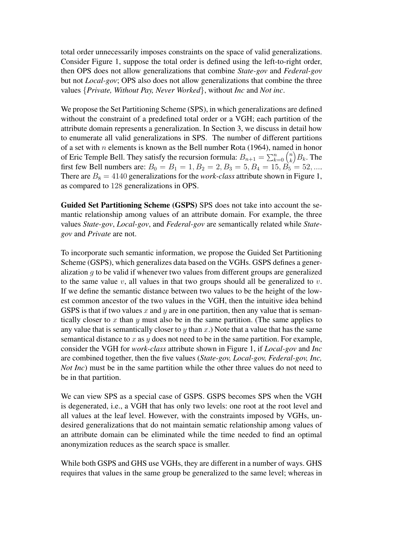total order unnecessarily imposes constraints on the space of valid generalizations. Consider Figure 1, suppose the total order is defined using the left-to-right order, then OPS does not allow generalizations that combine *State-gov* and *Federal-gov* but not *Local-gov*; OPS also does not allow generalizations that combine the three values {*Private, Without Pay, Never Worked*}, without *Inc* and *Not inc*.

We propose the Set Partitioning Scheme (SPS), in which generalizations are defined without the constraint of a predefined total order or a VGH; each partition of the attribute domain represents a generalization. In Section 3, we discuss in detail how to enumerate all valid generalizations in SPS. The number of different partitions of a set with *n* elements is known as the Bell number Rota (1964), named in honor of Eric Temple Bell. They satisfy the recursion formula:  $B_{n+1} = \sum_{k=0}^{n} {n \choose k}$  $\binom{n}{k}B_k$ . The first few Bell numbers are:  $B_0 = B_1 = 1, B_2 = 2, B_3 = 5, B_4 = 15, B_5 = 52, \dots$ There are  $B_8 = 4140$  generalizations for the *work-class* attribute shown in Figure 1, as compared to 128 generalizations in OPS.

Guided Set Partitioning Scheme (GSPS) SPS does not take into account the semantic relationship among values of an attribute domain. For example, the three values *State-gov*, *Local-gov*, and *Federal-gov* are semantically related while *Stategov* and *Private* are not.

To incorporate such semantic information, we propose the Guided Set Partitioning Scheme (GSPS), which generalizes data based on the VGHs. GSPS defines a generalization  $q$  to be valid if whenever two values from different groups are generalized to the same value  $v$ , all values in that two groups should all be generalized to  $v$ . If we define the semantic distance between two values to be the height of the lowest common ancestor of the two values in the VGH, then the intuitive idea behind GSPS is that if two values x and y are in one partition, then any value that is semantically closer to x than y must also be in the same partition. (The same applies to any value that is semantically closer to y than  $x$ .) Note that a value that has the same semantical distance to x as  $y$  does not need to be in the same partition. For example, consider the VGH for *work-class* attribute shown in Figure 1, if *Local-gov* and *Inc* are combined together, then the five values (*State-gov, Local-gov, Federal-gov, Inc, Not Inc*) must be in the same partition while the other three values do not need to be in that partition.

We can view SPS as a special case of GSPS. GSPS becomes SPS when the VGH is degenerated, i.e., a VGH that has only two levels: one root at the root level and all values at the leaf level. However, with the constraints imposed by VGHs, undesired generalizations that do not maintain sematic relationship among values of an attribute domain can be eliminated while the time needed to find an optimal anonymization reduces as the search space is smaller.

While both GSPS and GHS use VGHs, they are different in a number of ways. GHS requires that values in the same group be generalized to the same level; whereas in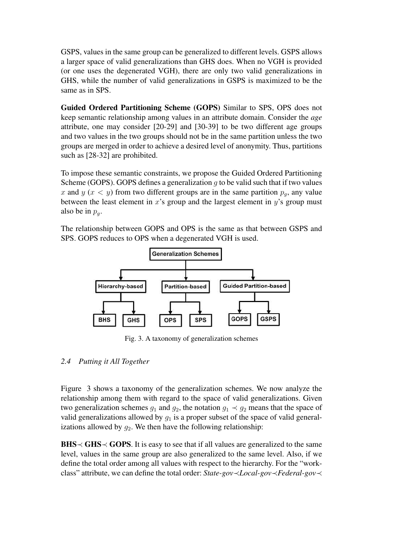GSPS, values in the same group can be generalized to different levels. GSPS allows a larger space of valid generalizations than GHS does. When no VGH is provided (or one uses the degenerated VGH), there are only two valid generalizations in GHS, while the number of valid generalizations in GSPS is maximized to be the same as in SPS.

Guided Ordered Partitioning Scheme (GOPS) Similar to SPS, OPS does not keep semantic relationship among values in an attribute domain. Consider the *age* attribute, one may consider [20-29] and [30-39] to be two different age groups and two values in the two groups should not be in the same partition unless the two groups are merged in order to achieve a desired level of anonymity. Thus, partitions such as [28-32] are prohibited.

To impose these semantic constraints, we propose the Guided Ordered Partitioning Scheme (GOPS). GOPS defines a generalization g to be valid such that if two values x and y  $(x < y)$  from two different groups are in the same partition  $p<sub>q</sub>$ , any value between the least element in  $x$ 's group and the largest element in  $y$ 's group must also be in  $p_q$ .

The relationship between GOPS and OPS is the same as that between GSPS and SPS. GOPS reduces to OPS when a degenerated VGH is used.



Fig. 3. A taxonomy of generalization schemes

### *2.4 Putting it All Together*

Figure 3 shows a taxonomy of the generalization schemes. We now analyze the relationship among them with regard to the space of valid generalizations. Given two generalization schemes  $g_1$  and  $g_2$ , the notation  $g_1 \prec g_2$  means that the space of valid generalizations allowed by  $g_1$  is a proper subset of the space of valid generalizations allowed by  $g_2$ . We then have the following relationship:

 $BHS \prec GHS \prec GOPS$ . It is easy to see that if all values are generalized to the same level, values in the same group are also generalized to the same level. Also, if we define the total order among all values with respect to the hierarchy. For the "workclass" attribute, we can define the total order: *State-gov*≺*Local-gov*≺*Federal-gov*≺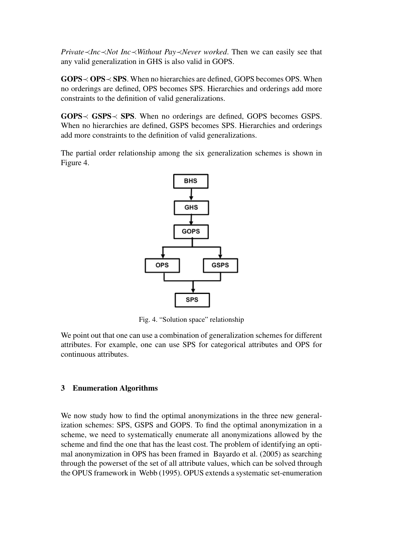*Private*≺*Inc*≺*Not Inc*≺*Without Pay*≺*Never worked*. Then we can easily see that any valid generalization in GHS is also valid in GOPS.

GOPS≺ OPS≺ SPS. When no hierarchies are defined, GOPS becomes OPS. When no orderings are defined, OPS becomes SPS. Hierarchies and orderings add more constraints to the definition of valid generalizations.

GOPS≺ GSPS≺ SPS. When no orderings are defined, GOPS becomes GSPS. When no hierarchies are defined, GSPS becomes SPS. Hierarchies and orderings add more constraints to the definition of valid generalizations.

The partial order relationship among the six generalization schemes is shown in Figure 4.



Fig. 4. "Solution space" relationship

We point out that one can use a combination of generalization schemes for different attributes. For example, one can use SPS for categorical attributes and OPS for continuous attributes.

## 3 Enumeration Algorithms

We now study how to find the optimal anonymizations in the three new generalization schemes: SPS, GSPS and GOPS. To find the optimal anonymization in a scheme, we need to systematically enumerate all anonymizations allowed by the scheme and find the one that has the least cost. The problem of identifying an optimal anonymization in OPS has been framed in Bayardo et al. (2005) as searching through the powerset of the set of all attribute values, which can be solved through the OPUS framework in Webb (1995). OPUS extends a systematic set-enumeration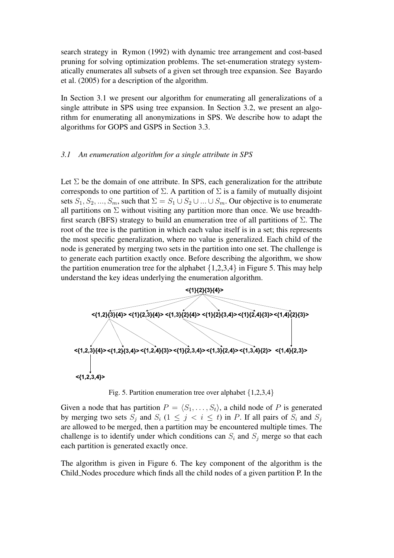search strategy in Rymon (1992) with dynamic tree arrangement and cost-based pruning for solving optimization problems. The set-enumeration strategy systematically enumerates all subsets of a given set through tree expansion. See Bayardo et al. (2005) for a description of the algorithm.

In Section 3.1 we present our algorithm for enumerating all generalizations of a single attribute in SPS using tree expansion. In Section 3.2, we present an algorithm for enumerating all anonymizations in SPS. We describe how to adapt the algorithms for GOPS and GSPS in Section 3.3.

#### *3.1 An enumeration algorithm for a single attribute in SPS*

Let  $\Sigma$  be the domain of one attribute. In SPS, each generalization for the attribute corresponds to one partition of  $\Sigma$ . A partition of  $\Sigma$  is a family of mutually disjoint sets  $S_1, S_2, ..., S_m$ , such that  $\Sigma = S_1 \cup S_2 \cup ... \cup S_m$ . Our objective is to enumerate all partitions on  $\Sigma$  without visiting any partition more than once. We use breadthfirst search (BFS) strategy to build an enumeration tree of all partitions of  $\Sigma$ . The root of the tree is the partition in which each value itself is in a set; this represents the most specific generalization, where no value is generalized. Each child of the node is generated by merging two sets in the partition into one set. The challenge is to generate each partition exactly once. Before describing the algorithm, we show the partition enumeration tree for the alphabet  $\{1,2,3,4\}$  in Figure 5. This may help understand the key ideas underlying the enumeration algorithm.



Fig. 5. Partition enumeration tree over alphabet {1,2,3,4}

Given a node that has partition  $P = \langle S_1, \ldots, S_t \rangle$ , a child node of P is generated by merging two sets  $S_i$  and  $S_i$  ( $1 \leq j \leq i \leq t$ ) in P. If all pairs of  $S_i$  and  $S_j$ are allowed to be merged, then a partition may be encountered multiple times. The challenge is to identify under which conditions can  $S_i$  and  $S_j$  merge so that each each partition is generated exactly once.

The algorithm is given in Figure 6. The key component of the algorithm is the Child Nodes procedure which finds all the child nodes of a given partition P. In the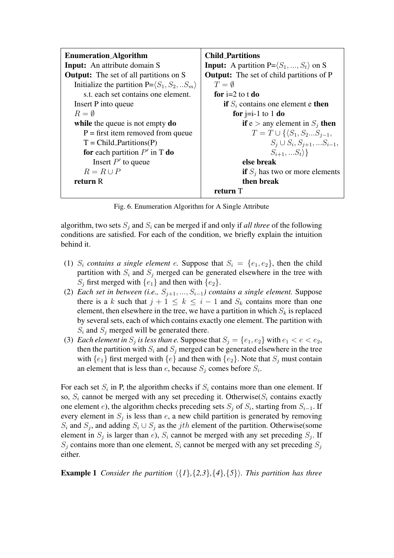

Fig. 6. Enumeration Algorithm for A Single Attribute

algorithm, two sets  $S_i$  and  $S_i$  can be merged if and only if *all three* of the following conditions are satisfied. For each of the condition, we briefly explain the intuition behind it.

- (1)  $S_i$  *contains a single element e.* Suppose that  $S_i = \{e_1, e_2\}$ , then the child partition with  $S_i$  and  $S_j$  merged can be generated elsewhere in the tree with  $S_i$  first merged with  $\{e_1\}$  and then with  $\{e_2\}$ .
- (2) *Each set in between (i.e.,*  $S_{j+1},...,S_{i-1}$ *) contains a single element.* Suppose there is a k such that  $j + 1 \leq k \leq i - 1$  and  $S_k$  contains more than one element, then elsewhere in the tree, we have a partition in which  $S_k$  is replaced by several sets, each of which contains exactly one element. The partition with  $S_i$  and  $S_j$  merged will be generated there.
- (3) *Each element in*  $S_j$  *is less than e.* Suppose that  $S_j = \{e_1, e_2\}$  with  $e_1 < e < e_2$ , then the partition with  $S_i$  and  $S_j$  merged can be generated elsewhere in the tree with  $\{e_1\}$  first merged with  $\{e\}$  and then with  $\{e_2\}$ . Note that  $S_i$  must contain an element that is less than  $e$ , because  $S_j$  comes before  $S_i$ .

For each set  $S_i$  in P, the algorithm checks if  $S_i$  contains more than one element. If so,  $S_i$  cannot be merged with any set preceding it. Otherwise( $S_i$  contains exactly one element *e*), the algorithm checks preceding sets  $S_j$  of  $S_i$ , starting from  $S_{i-1}$ . If every element in  $S_j$  is less than  $e$ , a new child partition is generated by removing  $S_i$  and  $S_j$ , and adding  $S_i \cup S_j$  as the *jth* element of the partition. Otherwise(some element in  $S_j$  is larger than e),  $S_i$  cannot be merged with any set preceding  $S_j$ . If  $S_i$  contains more than one element,  $S_i$  cannot be merged with any set preceding  $S_i$ either.

**Example 1** *Consider the partition*  $\{\{1\},\{2,3\},\{4\},\{5\}\}\$ *. This partition has three*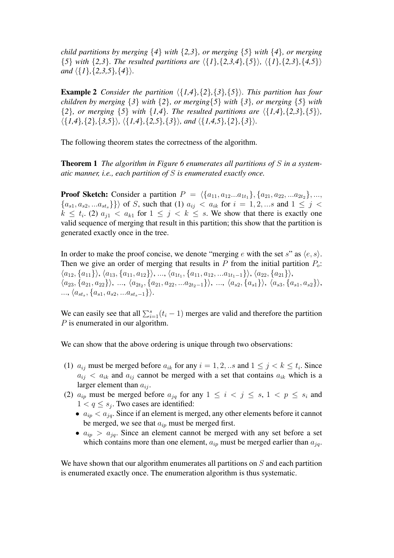*child partitions by merging* {*4*} *with* {*2,3*}*, or merging* {*5*} *with* {*4*}*, or merging*  $\{5\}$  *with*  $\{2,3\}$ *. The resulted partitions are*  $\{\{1\},\{2,3,4\},\{5\}\}\$ ,  $\{\{1\},\{2,3\},\{4,5\}\}\$ *and*  $\langle \{1\}, \{2,3,5\}, \{4\} \rangle$ *.* 

**Example 2** *Consider the partition*  $\langle \{1,4\}, \{2\}, \{3\}, \{5\} \rangle$ *. This partition has four children by merging* {*3*} *with* {*2*}*, or merging*{*5*} *with* {*3*}*, or merging* {*5*} *with*  ${2}$ *, or merging*  ${5}$  *with*  ${1,4}$ *, The resulted partitions are*  ${1,4}$ *,* ${2,3}$ *,* ${5}$ *),* h{*1,4*}*,*{*2*}*,*{*3,5*}i*,* h{*1,4*}*,*{*2,5*}*,*{*3*}i*, and* h{*1,4,5*}*,*{*2*}*,*{*3*}i*.*

The following theorem states the correctness of the algorithm.

Theorem 1 *The algorithm in Figure 6 enumerates all partitions of* S *in a systematic manner, i.e., each partition of* S *is enumerated exactly once.*

**Proof Sketch:** Consider a partition  $P = \langle \{a_{11}, a_{12}...a_{1t_1}\}, \{a_{21}, a_{22}, ...a_{2t_2}\}, ...$  ${a_{s1}, a_{s2}, ... a_{st_s}}\}\$  of S, such that (1)  $a_{ij} < a_{ik}$  for  $i = 1, 2, ...s$  and  $1 \leq j <$  $k \leq t_i$ . (2)  $a_{j1} < a_{k1}$  for  $1 \leq j \leq k \leq s$ . We show that there is exactly one valid sequence of merging that result in this partition; this show that the partition is generated exactly once in the tree.

In order to make the proof concise, we denote "merging e with the set s" as  $\langle e, s \rangle$ . Then we give an order of merging that results in  $P$  from the initial partition  $P<sub>o</sub>$ :  $\langle a_{12}, \{a_{11}\}\rangle, \langle a_{13}, \{a_{11}, a_{12}\}\rangle, ..., \langle a_{1t_1}, \{a_{11}, a_{12}, ... a_{1t_1-1}\}\rangle, \langle a_{22}, \{a_{21}\}\rangle,$  $\langle a_{23}, \{a_{21}, a_{22}\}\rangle, ..., \langle a_{2t_2}, \{a_{21}, a_{22}, ... a_{2t_2-1}\}\rangle, ..., \langle a_{s2}, \{a_{s1}\}\rangle, \langle a_{s3}, \{a_{s1}, a_{s2}\}\rangle,$  $..., \langle a_{st_s}, \{a_{s1}, a_{s2}, ... a_{st_s-1}\}\rangle.$ 

We can easily see that all  $\sum_{i=1}^{s} (t_i - 1)$  merges are valid and therefore the partition P is enumerated in our algorithm.

We can show that the above ordering is unique through two observations:

- (1)  $a_{ij}$  must be merged before  $a_{ik}$  for any  $i = 1, 2, ...$  and  $1 \le j < k \le t_i$ . Since  $a_{ij}$  <  $a_{ik}$  and  $a_{ij}$  cannot be merged with a set that contains  $a_{ik}$  which is a larger element than  $a_{ij}$ .
- (2)  $a_{ip}$  must be merged before  $a_{jq}$  for any  $1 \leq i \leq j \leq s$ ,  $1 \leq p \leq s_i$  and  $1 < q \leq s_j$ . Two cases are identified:
	- $a_{ip} < a_{jq}$ . Since if an element is merged, any other elements before it cannot be merged, we see that  $a_{ip}$  must be merged first.
	- $a_{ip} > a_{ja}$ . Since an element cannot be merged with any set before a set which contains more than one element,  $a_{ip}$  must be merged earlier than  $a_{jq}$ .

We have shown that our algorithm enumerates all partitions on  $S$  and each partition is enumerated exactly once. The enumeration algorithm is thus systematic.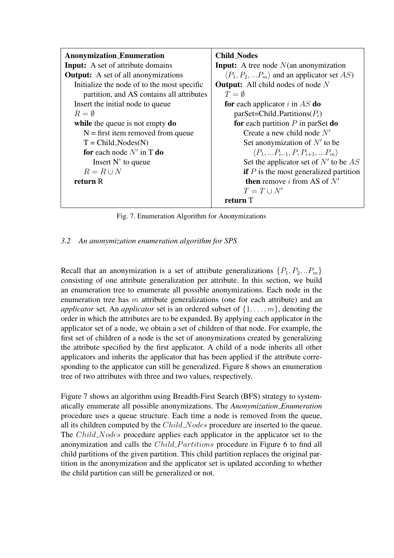| <b>Anonymization Enumeration</b>            | <b>Child_Nodes</b>                                         |  |  |
|---------------------------------------------|------------------------------------------------------------|--|--|
| <b>Input:</b> A set of attribute domains    | <b>Input:</b> A tree node $N$ (an anonymization            |  |  |
| <b>Output:</b> A set of all anonymizations  | $\langle P_1, P_2,  P_m \rangle$ and an applicator set AS) |  |  |
| Initialize the node of to the most specific | <b>Output:</b> All child nodes of node $N$                 |  |  |
| partition, and AS contains all attributes   | $T = \emptyset$                                            |  |  |
| Insert the initial node to queue            | <b>for</b> each applicator i in $AS$ <b>do</b>             |  |  |
| $R=\emptyset$                               | $parSet = Child\_Partitions(P_i)$                          |  |  |
| while the queue is not empty do             | for each partition $P$ in parSet do                        |  |  |
| $N =$ first item removed from queue         | Create a new child node $N'$                               |  |  |
| $T = Child\_Nodes(N)$                       | Set anonymization of $N'$ to be                            |  |  |
| for each node $N'$ in T do                  | $\langle P_1,P_{i-1},P,P_{i+1},P_m \rangle$                |  |  |
| Insert $N'$ to queue                        | Set the applicator set of $N'$ to be $AS$                  |  |  |
| $R = R \cup N$                              | <b>if</b> $P$ is the most generalized partition            |  |  |
| return R                                    | <b>then</b> remove <i>i</i> from AS of $N'$                |  |  |
|                                             | $T = T \cup N'$                                            |  |  |
|                                             | return T                                                   |  |  |

Fig. 7. Enumeration Algorithm for Anonymizations

*3.2 An anonymization enumeration algorithm for SPS*

Recall that an anonymization is a set of attribute generalizations  $\{P_1, P_2, ... P_m\}$ consisting of one attribute generalization per attribute. In this section, we build an enumeration tree to enumerate all possible anonymizations. Each node in the enumeration tree has m attribute generalizations (one for each attribute) and an *applicator* set. An *applicator* set is an ordered subset of  $\{1, \ldots, m\}$ , denoting the order in which the attributes are to be expanded. By applying each applicator in the applicator set of a node, we obtain a set of children of that node. For example, the first set of children of a node is the set of anonymizations created by generalizing the attribute specified by the first applicator. A child of a node inherits all other applicators and inherits the applicator that has been applied if the attribute corresponding to the applicator can still be generalized. Figure 8 shows an enumeration tree of two attributes with three and two values, respectively.

Figure 7 shows an algorithm using Breadth-First Search (BFS) strategy to systematically enumerate all possible anonymizations. The *Anonymization Enumeration* procedure uses a queue structure. Each time a node is removed from the queue, all its children computed by the  $Child\_{Nodes}$  procedure are inserted to the queue. The *Child Nodes* procedure applies each applicator in the applicator set to the anonymization and calls the *Child\_Partitions* procedure in Figure 6 to find all child partitions of the given partition. This child partition replaces the original partition in the anonymization and the applicator set is updated according to whether the child partition can still be generalized or not.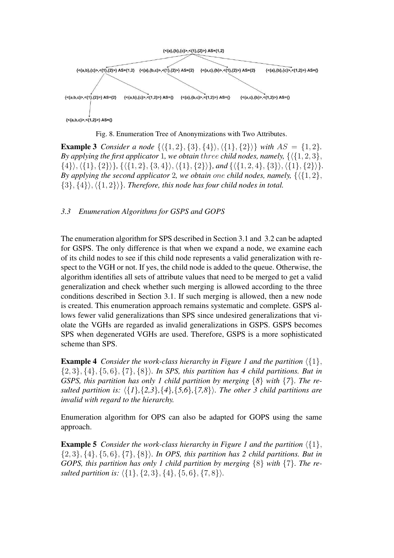

Fig. 8. Enumeration Tree of Anonymizations with Two Attributes.

**Example 3** *Consider a node*  $\{\langle \{1, 2\}, \{3\}, \{4\} \rangle, \langle \{1\}, \{2\} \rangle\}$  *with*  $AS = \{1, 2\}$ *. By applying the first applicator* 1*, we obtain three child nodes, namely,*  $\{\{\{1, 2, 3\},\}$  $\{\{4\}\}, \{\{1\}, \{2\}\}\}, \{\{\{1, 2\}, \{3, 4\}\}, \{\{1\}, \{2\}\}\},$  and  $\{\{\{1, 2, 4\}, \{3\}\}, \{\{1\}, \{2\}\}\}.$ *By applying the second applicator* 2*, we obtain one child nodes, namely,*  $\{\{\{1, 2\},\}$  $\{3\}, \{4\}, \{\{1, 2\}\}\}.$  Therefore, this node has four child nodes in total.

*3.3 Enumeration Algorithms for GSPS and GOPS*

The enumeration algorithm for SPS described in Section 3.1 and 3.2 can be adapted for GSPS. The only difference is that when we expand a node, we examine each of its child nodes to see if this child node represents a valid generalization with respect to the VGH or not. If yes, the child node is added to the queue. Otherwise, the algorithm identifies all sets of attribute values that need to be merged to get a valid generalization and check whether such merging is allowed according to the three conditions described in Section 3.1. If such merging is allowed, then a new node is created. This enumeration approach remains systematic and complete. GSPS allows fewer valid generalizations than SPS since undesired generalizations that violate the VGHs are regarded as invalid generalizations in GSPS. GSPS becomes SPS when degenerated VGHs are used. Therefore, GSPS is a more sophisticated scheme than SPS.

**Example 4** *Consider the work-class hierarchy in Figure 1 and the partition*  $\{1\}$ ,  $\{2,3\}, \{4\}, \{5,6\}, \{7\}, \{8\}\$ . In SPS, this partition has 4 child partitions. But in *GSPS, this partition has only 1 child partition by merging* {*8*} *with* {*7*}*. The resulted partition is:*  $\{\{1\},\{2,3\},\{4\},\{5,6\},\{7,8\}\}\$ . The other 3 child partitions are *invalid with regard to the hierarchy.*

Enumeration algorithm for OPS can also be adapted for GOPS using the same approach.

**Example 5** *Consider the work-class hierarchy in Figure 1 and the partition*  $\{1\}$ ,  $\{2, 3\}, \{4\}, \{5, 6\}, \{7\}, \{8\}\$ . In OPS, this partition has 2 child partitions. But in *GOPS, this partition has only 1 child partition by merging* {8} *with* {7}*. The resulted partition is:*  $\{\{1\}, \{2, 3\}, \{4\}, \{5, 6\}, \{7, 8\}\$ .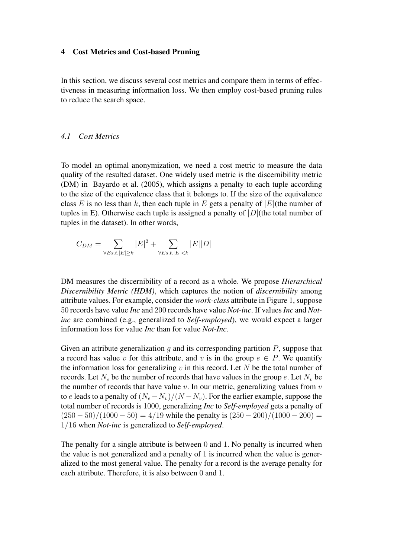#### 4 Cost Metrics and Cost-based Pruning

In this section, we discuss several cost metrics and compare them in terms of effectiveness in measuring information loss. We then employ cost-based pruning rules to reduce the search space.

### *4.1 Cost Metrics*

To model an optimal anonymization, we need a cost metric to measure the data quality of the resulted dataset. One widely used metric is the discernibility metric (DM) in Bayardo et al. (2005), which assigns a penalty to each tuple according to the size of the equivalence class that it belongs to. If the size of the equivalence class E is no less than k, then each tuple in E gets a penalty of  $|E|$  (the number of tuples in E). Otherwise each tuple is assigned a penalty of  $|D|$ (the total number of tuples in the dataset). In other words,

$$
C_{DM} = \sum_{\forall E s.t. |E| \geq k} |E|^2 + \sum_{\forall E s.t. |E| < k} |E||D|
$$

DM measures the discernibility of a record as a whole. We propose *Hierarchical Discernibility Metric (HDM)*, which captures the notion of *discernibility* among attribute values. For example, consider the *work-class* attribute in Figure 1, suppose 50 records have value *Inc* and 200 records have value *Not-inc*. If values *Inc* and *Notinc* are combined (e.g., generalized to *Self-employed*), we would expect a larger information loss for value *Inc* than for value *Not-Inc*.

Given an attribute generalization  $g$  and its corresponding partition  $P$ , suppose that a record has value v for this attribute, and v is in the group  $e \in P$ . We quantify the information loss for generalizing  $v$  in this record. Let  $N$  be the total number of records. Let  $N_e$  be the number of records that have values in the group e. Let  $N_v$  be the number of records that have value  $v$ . In our metric, generalizing values from  $v$ to e leads to a penalty of  $(N_e-N_v)/(N-N_v)$ . For the earlier example, suppose the total number of records is 1000, generalizing *Inc* to *Self-employed* gets a penalty of  $(250 - 50)/(1000 - 50) = 4/19$  while the penalty is  $(250 - 200)/(1000 - 200)$ 1/16 when *Not-inc* is generalized to *Self-employed*.

The penalty for a single attribute is between 0 and 1. No penalty is incurred when the value is not generalized and a penalty of 1 is incurred when the value is generalized to the most general value. The penalty for a record is the average penalty for each attribute. Therefore, it is also between 0 and 1.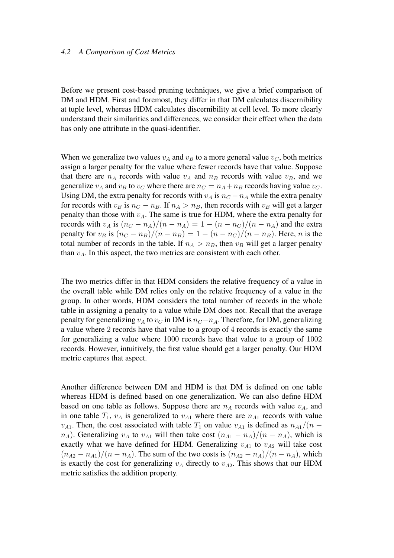#### *4.2 A Comparison of Cost Metrics*

Before we present cost-based pruning techniques, we give a brief comparison of DM and HDM. First and foremost, they differ in that DM calculates discernibility at tuple level, whereas HDM calculates discernibility at cell level. To more clearly understand their similarities and differences, we consider their effect when the data has only one attribute in the quasi-identifier.

When we generalize two values  $v_A$  and  $v_B$  to a more general value  $v_C$ , both metrics assign a larger penalty for the value where fewer records have that value. Suppose that there are  $n_A$  records with value  $v_A$  and  $n_B$  records with value  $v_B$ , and we generalize  $v_A$  and  $v_B$  to  $v_C$  where there are  $n_C = n_A + n_B$  records having value  $v_C$ . Using DM, the extra penalty for records with  $v_A$  is  $n_C - n_A$  while the extra penalty for records with  $v_B$  is  $n_C - n_B$ . If  $n_A > n_B$ , then records with  $v_B$  will get a larger penalty than those with  $v_A$ . The same is true for HDM, where the extra penalty for records with  $v_A$  is  $(n_C - n_A)/(n - n_A) = 1 - (n - n_C)/(n - n_A)$  and the extra penalty for  $v_B$  is  $(n_C - n_B)/(n - n_B) = 1 - (n - n_C)/(n - n_B)$ . Here, *n* is the total number of records in the table. If  $n_A > n_B$ , then  $v_B$  will get a larger penalty than  $v_A$ . In this aspect, the two metrics are consistent with each other.

The two metrics differ in that HDM considers the relative frequency of a value in the overall table while DM relies only on the relative frequency of a value in the group. In other words, HDM considers the total number of records in the whole table in assigning a penalty to a value while DM does not. Recall that the average penalty for generalizing  $v_A$  to  $v_C$  in DM is  $n_C-n_A$ . Therefore, for DM, generalizing a value where 2 records have that value to a group of 4 records is exactly the same for generalizing a value where 1000 records have that value to a group of 1002 records. However, intuitively, the first value should get a larger penalty. Our HDM metric captures that aspect.

Another difference between DM and HDM is that DM is defined on one table whereas HDM is defined based on one generalization. We can also define HDM based on one table as follows. Suppose there are  $n_A$  records with value  $v_A$ , and in one table  $T_1$ ,  $v_A$  is generalized to  $v_{A1}$  where there are  $n_{A1}$  records with value  $v_{A1}$ . Then, the cost associated with table  $T_1$  on value  $v_{A1}$  is defined as  $n_{A1}/(n$  $n_A$ ). Generalizing  $v_A$  to  $v_{A1}$  will then take cost  $(n_{A1} - n_A)/(n - n_A)$ , which is exactly what we have defined for HDM. Generalizing  $v_{A1}$  to  $v_{A2}$  will take cost  $(n_{A2} - n_{A1})/(n - n_A)$ . The sum of the two costs is  $(n_{A2} - n_A)/(n - n_A)$ , which is exactly the cost for generalizing  $v_A$  directly to  $v_{A2}$ . This shows that our HDM metric satisfies the addition property.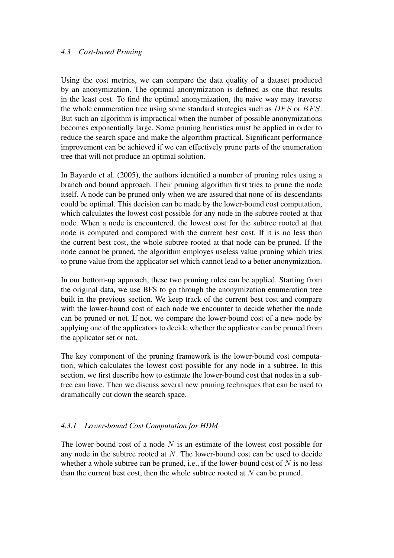### *4.3 Cost-based Pruning*

Using the cost metrics, we can compare the data quality of a dataset produced by an anonymization. The optimal anonymization is defined as one that results in the least cost. To find the optimal anonymization, the naive way may traverse the whole enumeration tree using some standard strategies such as DFS or BFS. But such an algorithm is impractical when the number of possible anonymizations becomes exponentially large. Some pruning heuristics must be applied in order to reduce the search space and make the algorithm practical. Significant performance improvement can be achieved if we can effectively prune parts of the enumeration tree that will not produce an optimal solution.

In Bayardo et al. (2005), the authors identified a number of pruning rules using a branch and bound approach. Their pruning algorithm first tries to prune the node itself. A node can be pruned only when we are assured that none of its descendants could be optimal. This decision can be made by the lower-bound cost computation, which calculates the lowest cost possible for any node in the subtree rooted at that node. When a node is encountered, the lowest cost for the subtree rooted at that node is computed and compared with the current best cost. If it is no less than the current best cost, the whole subtree rooted at that node can be pruned. If the node cannot be pruned, the algorithm employes useless value pruning which tries to prune value from the applicator set which cannot lead to a better anonymization.

In our bottom-up approach, these two pruning rules can be applied. Starting from the original data, we use BFS to go through the anonymization enumeration tree built in the previous section. We keep track of the current best cost and compare with the lower-bound cost of each node we encounter to decide whether the node can be pruned or not. If not, we compare the lower-bound cost of a new node by applying one of the applicators to decide whether the applicator can be pruned from the applicator set or not.

The key component of the pruning framework is the lower-bound cost computation, which calculates the lowest cost possible for any node in a subtree. In this section, we first describe how to estimate the lower-bound cost that nodes in a subtree can have. Then we discuss several new pruning techniques that can be used to dramatically cut down the search space.

# *4.3.1 Lower-bound Cost Computation for HDM*

The lower-bound cost of a node  $N$  is an estimate of the lowest cost possible for any node in the subtree rooted at  $N$ . The lower-bound cost can be used to decide whether a whole subtree can be pruned, i.e., if the lower-bound cost of  $N$  is no less than the current best cost, then the whole subtree rooted at  $N$  can be pruned.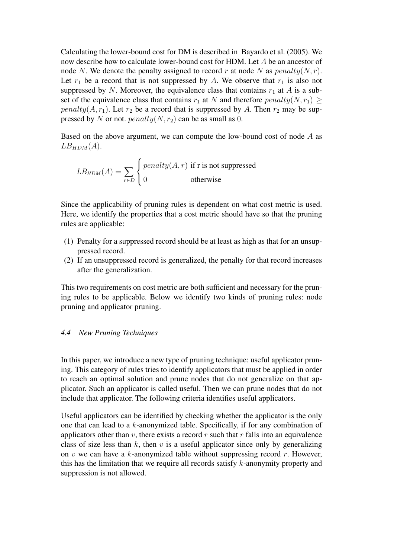Calculating the lower-bound cost for DM is described in Bayardo et al. (2005). We now describe how to calculate lower-bound cost for HDM. Let A be an ancestor of node N. We denote the penalty assigned to record r at node N as  $penalty(N, r)$ . Let  $r_1$  be a record that is not suppressed by A. We observe that  $r_1$  is also not suppressed by N. Moreover, the equivalence class that contains  $r_1$  at A is a subset of the equivalence class that contains  $r_1$  at N and therefore  $penalty(N, r_1) \geq$ penalty $(A, r_1)$ . Let  $r_2$  be a record that is suppressed by A. Then  $r_2$  may be suppressed by N or not.  $penalty(N, r_2)$  can be as small as 0.

Based on the above argument, we can compute the low-bound cost of node A as  $LB_{HDM}(A)$ .

$$
LB_{HDM}(A) = \sum_{r \in D} \begin{cases} penalty(A, r) & \text{if } r \text{ is not suppressed} \\ 0 & \text{otherwise} \end{cases}
$$

Since the applicability of pruning rules is dependent on what cost metric is used. Here, we identify the properties that a cost metric should have so that the pruning rules are applicable:

- (1) Penalty for a suppressed record should be at least as high as that for an unsuppressed record.
- (2) If an unsuppressed record is generalized, the penalty for that record increases after the generalization.

This two requirements on cost metric are both sufficient and necessary for the pruning rules to be applicable. Below we identify two kinds of pruning rules: node pruning and applicator pruning.

### *4.4 New Pruning Techniques*

In this paper, we introduce a new type of pruning technique: useful applicator pruning. This category of rules tries to identify applicators that must be applied in order to reach an optimal solution and prune nodes that do not generalize on that applicator. Such an applicator is called useful. Then we can prune nodes that do not include that applicator. The following criteria identifies useful applicators.

Useful applicators can be identified by checking whether the applicator is the only one that can lead to a k-anonymized table. Specifically, if for any combination of applicators other than  $v$ , there exists a record  $r$  such that  $r$  falls into an equivalence class of size less than  $k$ , then  $v$  is a useful applicator since only by generalizing on v we can have a k-anonymized table without suppressing record r. However, this has the limitation that we require all records satisfy k-anonymity property and suppression is not allowed.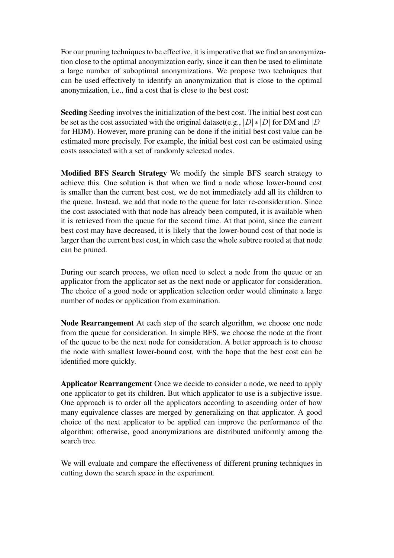For our pruning techniques to be effective, it is imperative that we find an anonymization close to the optimal anonymization early, since it can then be used to eliminate a large number of suboptimal anonymizations. We propose two techniques that can be used effectively to identify an anonymization that is close to the optimal anonymization, i.e., find a cost that is close to the best cost:

Seeding Seeding involves the initialization of the best cost. The initial best cost can be set as the cost associated with the original dataset(e.g.,  $|D| * |D|$  for DM and  $|D|$ for HDM). However, more pruning can be done if the initial best cost value can be estimated more precisely. For example, the initial best cost can be estimated using costs associated with a set of randomly selected nodes.

Modified BFS Search Strategy We modify the simple BFS search strategy to achieve this. One solution is that when we find a node whose lower-bound cost is smaller than the current best cost, we do not immediately add all its children to the queue. Instead, we add that node to the queue for later re-consideration. Since the cost associated with that node has already been computed, it is available when it is retrieved from the queue for the second time. At that point, since the current best cost may have decreased, it is likely that the lower-bound cost of that node is larger than the current best cost, in which case the whole subtree rooted at that node can be pruned.

During our search process, we often need to select a node from the queue or an applicator from the applicator set as the next node or applicator for consideration. The choice of a good node or application selection order would eliminate a large number of nodes or application from examination.

Node Rearrangement At each step of the search algorithm, we choose one node from the queue for consideration. In simple BFS, we choose the node at the front of the queue to be the next node for consideration. A better approach is to choose the node with smallest lower-bound cost, with the hope that the best cost can be identified more quickly.

Applicator Rearrangement Once we decide to consider a node, we need to apply one applicator to get its children. But which applicator to use is a subjective issue. One approach is to order all the applicators according to ascending order of how many equivalence classes are merged by generalizing on that applicator. A good choice of the next applicator to be applied can improve the performance of the algorithm; otherwise, good anonymizations are distributed uniformly among the search tree.

We will evaluate and compare the effectiveness of different pruning techniques in cutting down the search space in the experiment.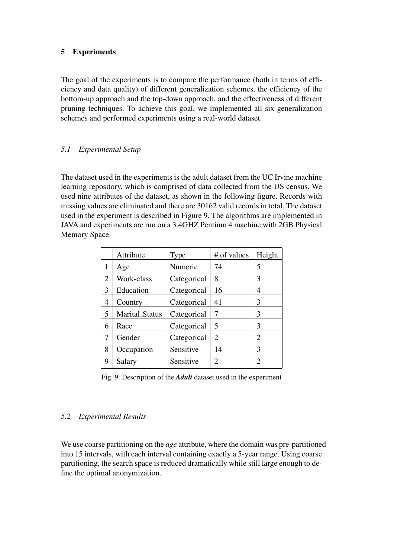# 5 Experiments

The goal of the experiments is to compare the performance (both in terms of efficiency and data quality) of different generalization schemes, the efficiency of the bottom-up approach and the top-down approach, and the effectiveness of different pruning techniques. To achieve this goal, we implemented all six generalization schemes and performed experiments using a real-world dataset.

# *5.1 Experimental Setup*

The dataset used in the experiments is the adult dataset from the UC Irvine machine learning repository, which is comprised of data collected from the US census. We used nine attributes of the dataset, as shown in the following figure. Records with missing values are eliminated and there are 30162 valid records in total. The dataset used in the experiment is described in Figure 9. The algorithms are implemented in JAVA and experiments are run on a 3.4GHZ Pentium 4 machine with 2GB Physical Memory Space.

|   | Attribute      | <b>Type</b> | # of values | Height                |
|---|----------------|-------------|-------------|-----------------------|
| 1 | Age            | Numeric     | 74          | 5                     |
| 2 | Work-class     | Categorical | 8           | 3                     |
| 3 | Education      | Categorical | 16          | 4                     |
| 4 | Country        | Categorical | 41          | 3                     |
| 5 | Marital_Status | Categorical |             | 3                     |
| 6 | Race           | Categorical | 5           | 3                     |
| 7 | Gender         | Categorical | 2           | 2                     |
| 8 | Occupation     | Sensitive   | 14          | 3                     |
| 9 | Salary         | Sensitive   | 2           | $\mathcal{D}_{\cdot}$ |

Fig. 9. Description of the *Adult* dataset used in the experiment

# *5.2 Experimental Results*

We use coarse partitioning on the *age* attribute, where the domain was pre-partitioned into 15 intervals, with each interval containing exactly a 5-year range. Using coarse partitioning, the search space is reduced dramatically while still large enough to define the optimal anonymization.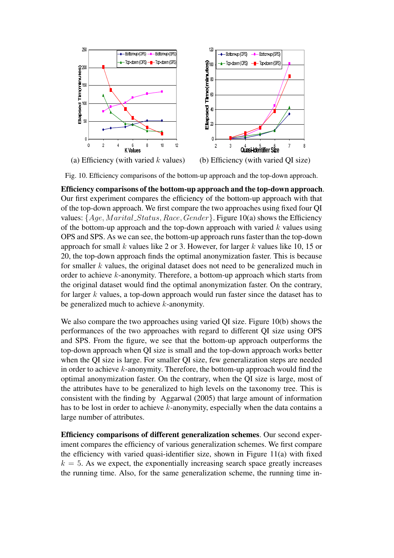

Fig. 10. Efficiency comparisons of the bottom-up approach and the top-down approach.

Efficiency comparisons of the bottom-up approach and the top-down approach. Our first experiment compares the efficiency of the bottom-up approach with that of the top-down approach. We first compare the two approaches using fixed four QI values:  $\{Age, Marital\_Status, Race, gender\}$ . Figure 10(a) shows the Efficiency of the bottom-up approach and the top-down approach with varied  $k$  values using OPS and SPS. As we can see, the bottom-up approach runs faster than the top-down approach for small k values like 2 or 3. However, for larger k values like 10, 15 or 20, the top-down approach finds the optimal anonymization faster. This is because for smaller  $k$  values, the original dataset does not need to be generalized much in order to achieve k-anonymity. Therefore, a bottom-up approach which starts from the original dataset would find the optimal anonymization faster. On the contrary, for larger k values, a top-down approach would run faster since the dataset has to be generalized much to achieve *k*-anonymity.

We also compare the two approaches using varied QI size. Figure 10(b) shows the performances of the two approaches with regard to different QI size using OPS and SPS. From the figure, we see that the bottom-up approach outperforms the top-down approach when QI size is small and the top-down approach works better when the QI size is large. For smaller QI size, few generalization steps are needed in order to achieve  $k$ -anonymity. Therefore, the bottom-up approach would find the optimal anonymization faster. On the contrary, when the QI size is large, most of the attributes have to be generalized to high levels on the taxonomy tree. This is consistent with the finding by Aggarwal (2005) that large amount of information has to be lost in order to achieve k-anonymity, especially when the data contains a large number of attributes.

Efficiency comparisons of different generalization schemes. Our second experiment compares the efficiency of various generalization schemes. We first compare the efficiency with varied quasi-identifier size, shown in Figure 11(a) with fixed  $k = 5$ . As we expect, the exponentially increasing search space greatly increases the running time. Also, for the same generalization scheme, the running time in-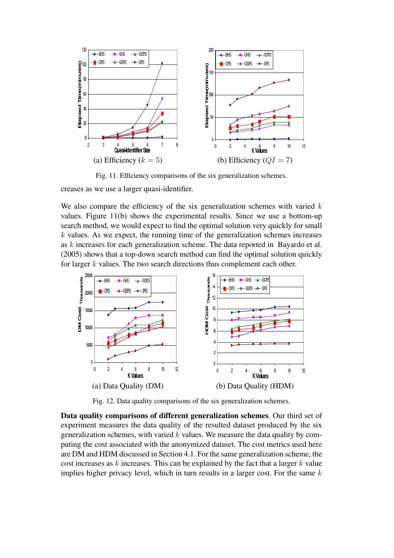

Fig. 11. Efficiency comparisons of the six generalization schemes.

creases as we use a larger quasi-identifier.

We also compare the efficiency of the six generalization schemes with varied  $k$ values. Figure 11(b) shows the experimental results. Since we use a bottom-up search method, we would expect to find the optimal solution very quickly for small  $k$  values. As we expect, the running time of the generalization schemes increases as k increases for each generalization scheme. The data reported in Bayardo et al. (2005) shows that a top-down search method can find the optimal solution quickly for larger  $k$  values. The two search directions thus complement each other.



Fig. 12. Data quality comparisons of the six generalization schemes.

Data quality comparisons of different generalization schemes. Our third set of experiment measures the data quality of the resulted dataset produced by the six generalization schemes, with varied  $k$  values. We measure the data quality by computing the cost associated with the anonymized dataset. The cost metrics used here are DM and HDM discussed in Section 4.1. For the same generalization scheme, the cost increases as  $k$  increases. This can be explained by the fact that a larger  $k$  value implies higher privacy level, which in turn results in a larger cost. For the same  $k$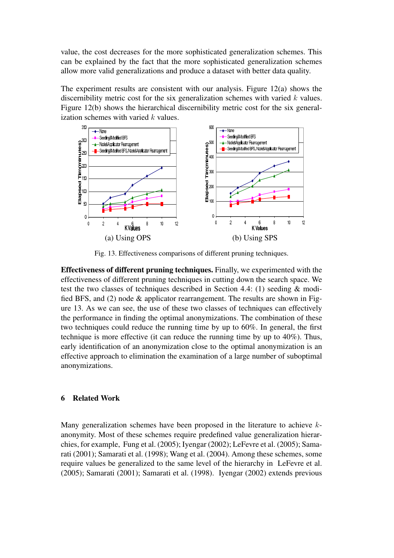value, the cost decreases for the more sophisticated generalization schemes. This can be explained by the fact that the more sophisticated generalization schemes allow more valid generalizations and produce a dataset with better data quality.

The experiment results are consistent with our analysis. Figure 12(a) shows the discernibility metric cost for the six generalization schemes with varied  $k$  values. Figure 12(b) shows the hierarchical discernibility metric cost for the six generalization schemes with varied  $k$  values.



Fig. 13. Effectiveness comparisons of different pruning techniques.

Effectiveness of different pruning techniques. Finally, we experimented with the effectiveness of different pruning techniques in cutting down the search space. We test the two classes of techniques described in Section 4.4: (1) seeding & modified BFS, and (2) node & applicator rearrangement. The results are shown in Figure 13. As we can see, the use of these two classes of techniques can effectively the performance in finding the optimal anonymizations. The combination of these two techniques could reduce the running time by up to 60%. In general, the first technique is more effective (it can reduce the running time by up to 40%). Thus, early identification of an anonymization close to the optimal anonymization is an effective approach to elimination the examination of a large number of suboptimal anonymizations.

### 6 Related Work

Many generalization schemes have been proposed in the literature to achieve kanonymity. Most of these schemes require predefined value generalization hierarchies, for example, Fung et al. (2005); Iyengar (2002); LeFevre et al. (2005); Samarati (2001); Samarati et al. (1998); Wang et al. (2004). Among these schemes, some require values be generalized to the same level of the hierarchy in LeFevre et al. (2005); Samarati (2001); Samarati et al. (1998). Iyengar (2002) extends previous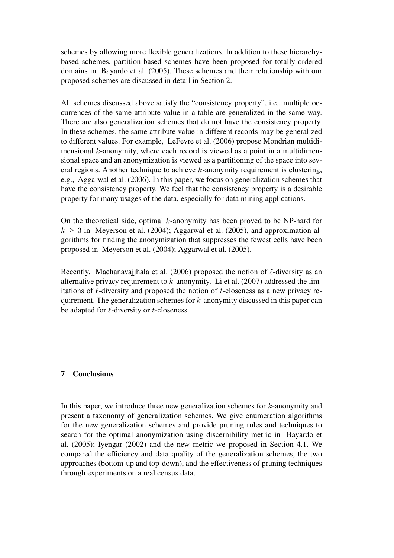schemes by allowing more flexible generalizations. In addition to these hierarchybased schemes, partition-based schemes have been proposed for totally-ordered domains in Bayardo et al. (2005). These schemes and their relationship with our proposed schemes are discussed in detail in Section 2.

All schemes discussed above satisfy the "consistency property", i.e., multiple occurrences of the same attribute value in a table are generalized in the same way. There are also generalization schemes that do not have the consistency property. In these schemes, the same attribute value in different records may be generalized to different values. For example, LeFevre et al. (2006) propose Mondrian multidimensional  $k$ -anonymity, where each record is viewed as a point in a multidimensional space and an anonymization is viewed as a partitioning of the space into several regions. Another technique to achieve k-anonymity requirement is clustering, e.g., Aggarwal et al. (2006). In this paper, we focus on generalization schemes that have the consistency property. We feel that the consistency property is a desirable property for many usages of the data, especially for data mining applications.

On the theoretical side, optimal  $k$ -anonymity has been proved to be NP-hard for  $k > 3$  in Meyerson et al. (2004); Aggarwal et al. (2005), and approximation algorithms for finding the anonymization that suppresses the fewest cells have been proposed in Meyerson et al. (2004); Aggarwal et al. (2005).

Recently, Machanavajjhala et al. (2006) proposed the notion of  $\ell$ -diversity as an alternative privacy requirement to  $k$ -anonymity. Li et al. (2007) addressed the limitations of  $\ell$ -diversity and proposed the notion of t-closeness as a new privacy requirement. The generalization schemes for  $k$ -anonymity discussed in this paper can be adapted for  $\ell$ -diversity or t-closeness.

### 7 Conclusions

In this paper, we introduce three new generalization schemes for  $k$ -anonymity and present a taxonomy of generalization schemes. We give enumeration algorithms for the new generalization schemes and provide pruning rules and techniques to search for the optimal anonymization using discernibility metric in Bayardo et al. (2005); Iyengar (2002) and the new metric we proposed in Section 4.1. We compared the efficiency and data quality of the generalization schemes, the two approaches (bottom-up and top-down), and the effectiveness of pruning techniques through experiments on a real census data.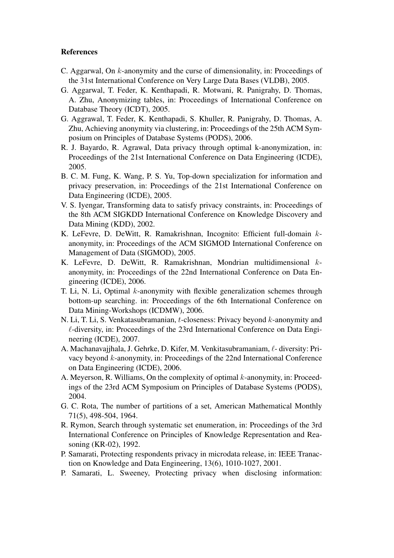### References

- C. Aggarwal, On k-anonymity and the curse of dimensionality, in: Proceedings of the 31st International Conference on Very Large Data Bases (VLDB), 2005.
- G. Aggarwal, T. Feder, K. Kenthapadi, R. Motwani, R. Panigrahy, D. Thomas, A. Zhu, Anonymizing tables, in: Proceedings of International Conference on Database Theory (ICDT), 2005.
- G. Aggrawal, T. Feder, K. Kenthapadi, S. Khuller, R. Panigrahy, D. Thomas, A. Zhu, Achieving anonymity via clustering, in: Proceedings of the 25th ACM Symposium on Principles of Database Systems (PODS), 2006.
- R. J. Bayardo, R. Agrawal, Data privacy through optimal k-anonymization, in: Proceedings of the 21st International Conference on Data Engineering (ICDE), 2005.
- B. C. M. Fung, K. Wang, P. S. Yu, Top-down specialization for information and privacy preservation, in: Proceedings of the 21st International Conference on Data Engineering (ICDE), 2005.
- V. S. Iyengar, Transforming data to satisfy privacy constraints, in: Proceedings of the 8th ACM SIGKDD International Conference on Knowledge Discovery and Data Mining (KDD), 2002.
- K. LeFevre, D. DeWitt, R. Ramakrishnan, Incognito: Efficient full-domain kanonymity, in: Proceedings of the ACM SIGMOD International Conference on Management of Data (SIGMOD), 2005.
- K. LeFevre, D. DeWitt, R. Ramakrishnan, Mondrian multidimensional kanonymity, in: Proceedings of the 22nd International Conference on Data Engineering (ICDE), 2006.
- T. Li, N. Li, Optimal  $k$ -anonymity with flexible generalization schemes through bottom-up searching. in: Proceedings of the 6th International Conference on Data Mining-Workshops (ICDMW), 2006.
- N. Li, T. Li, S. Venkatasubramanian, t-closeness: Privacy beyond k-anonymity and  $\ell$ -diversity, in: Proceedings of the 23rd International Conference on Data Engineering (ICDE), 2007.
- A. Machanavajjhala, J. Gehrke, D. Kifer, M. Venkitasubramaniam,  $\ell$  diversity: Privacy beyond k-anonymity, in: Proceedings of the 22nd International Conference on Data Engineering (ICDE), 2006.
- A. Meyerson, R. Williams, On the complexity of optimal k-anonymity, in: Proceedings of the 23rd ACM Symposium on Principles of Database Systems (PODS), 2004.
- G. C. Rota, The number of partitions of a set, American Mathematical Monthly 71(5), 498-504, 1964.
- R. Rymon, Search through systematic set enumeration, in: Proceedings of the 3rd International Conference on Principles of Knowledge Representation and Reasoning (KR-02), 1992.
- P. Samarati, Protecting respondents privacy in microdata release, in: IEEE Tranaction on Knowledge and Data Engineering, 13(6), 1010-1027, 2001.
- P. Samarati, L. Sweeney, Protecting privacy when disclosing information: